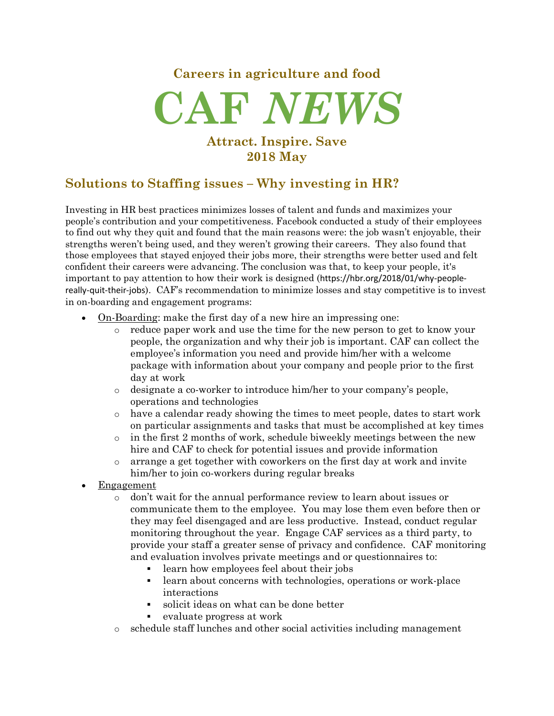## **Careers in agriculture and food**



### **Attract. Inspire. Save 2018 May**

## **Solutions to Staffing issues – Why investing in HR?**

Investing in HR best practices minimizes losses of talent and funds and maximizes your people's contribution and your competitiveness. Facebook conducted a study of their employees to find out why they quit and found that the main reasons were: the job wasn't enjoyable, their strengths weren't being used, and they weren't growing their careers. They also found that those employees that stayed enjoyed their jobs more, their strengths were better used and felt confident their careers were advancing. The conclusion was that, to keep your people, it's important to pay attention to how their work is designed (https://hbr.org/2018/01/why-peoplereally-quit-their-jobs). CAF's recommendation to minimize losses and stay competitive is to invest in on-boarding and engagement programs:

- On-Boarding: make the first day of a new hire an impressing one:
	- o reduce paper work and use the time for the new person to get to know your people, the organization and why their job is important. CAF can collect the employee's information you need and provide him/her with a welcome package with information about your company and people prior to the first day at work
	- o designate a co-worker to introduce him/her to your company's people, operations and technologies
	- o have a calendar ready showing the times to meet people, dates to start work on particular assignments and tasks that must be accomplished at key times
	- o in the first 2 months of work, schedule biweekly meetings between the new hire and CAF to check for potential issues and provide information
	- o arrange a get together with coworkers on the first day at work and invite him/her to join co-workers during regular breaks
- **Engagement** 
	- o don't wait for the annual performance review to learn about issues or communicate them to the employee. You may lose them even before then or they may feel disengaged and are less productive. Instead, conduct regular monitoring throughout the year. Engage CAF services as a third party, to provide your staff a greater sense of privacy and confidence. CAF monitoring and evaluation involves private meetings and or questionnaires to:
		- learn how employees feel about their jobs
		- learn about concerns with technologies, operations or work-place interactions
		- § solicit ideas on what can be done better
		- evaluate progress at work
	- o schedule staff lunches and other social activities including management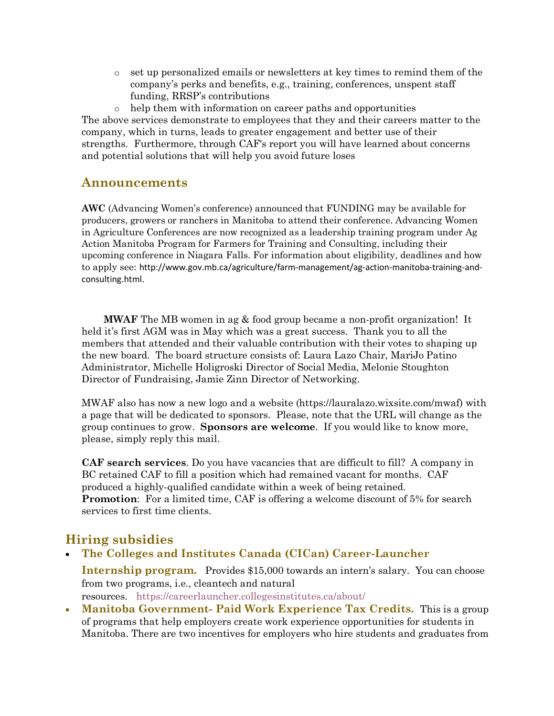o set up personalized emails or newsletters at key times to remind them of the company's perks and benefits, e.g., training, conferences, unspent staff funding, RRSP's contributions

o help them with information on career paths and opportunities The above services demonstrate to employees that they and their careers matter to the company, which in turns, leads to greater engagement and better use of their strengths. Furthermore, through CAF's report you will have learned about concerns and potential solutions that will help you avoid future loses

#### **Announcements**

**AWC** (Advancing Women's conference) announced that FUNDING may be available for producers, growers or ranchers in Manitoba to attend their conference. Advancing Women in Agriculture Conferences are now recognized as a leadership training program under Ag Action Manitoba Program for Farmers for Training and Consulting, including their upcoming conference in Niagara Falls. For information about eligibility, deadlines and how to apply see: http://www.gov.mb.ca/agriculture/farm-management/ag-action-manitoba-training-andconsulting.html.

**MWAF** The MB women in ag & food group became a non-profit organization! It held it's first AGM was in May which was a great success. Thank you to all the members that attended and their valuable contribution with their votes to shaping up the new board. The board structure consists of: Laura Lazo Chair, MariJo Patino Administrator, Michelle Holigroski Director of Social Media, Melonie Stoughton Director of Fundraising, Jamie Zinn Director of Networking.

MWAF also has now a new logo and a website (https://lauralazo.wixsite.com/mwaf) with a page that will be dedicated to sponsors. Please, note that the URL will change as the group continues to grow. **Sponsors are welcome**. If you would like to know more, please, simply reply this mail.

**CAF search services**. Do you have vacancies that are difficult to fill? A company in BC retained CAF to fill a position which had remained vacant for months. CAF produced a highly-qualified candidate within a week of being retained. **Promotion:** For a limited time, CAF is offering a welcome discount of 5% for search services to first time clients.

### **Hiring subsidies**

- **The Colleges and Institutes Canada (CICan) Career-Launcher Internship program.** Provides \$15,000 towards an intern's salary. You can choose from two programs, i.e., cleantech and natural resources. https://careerlauncher.collegesinstitutes.ca/about/
- **Manitoba Government- Paid Work Experience Tax Credits.** This is a group of programs that help employers create work experience opportunities for students in Manitoba. There are two incentives for employers who hire students and graduates from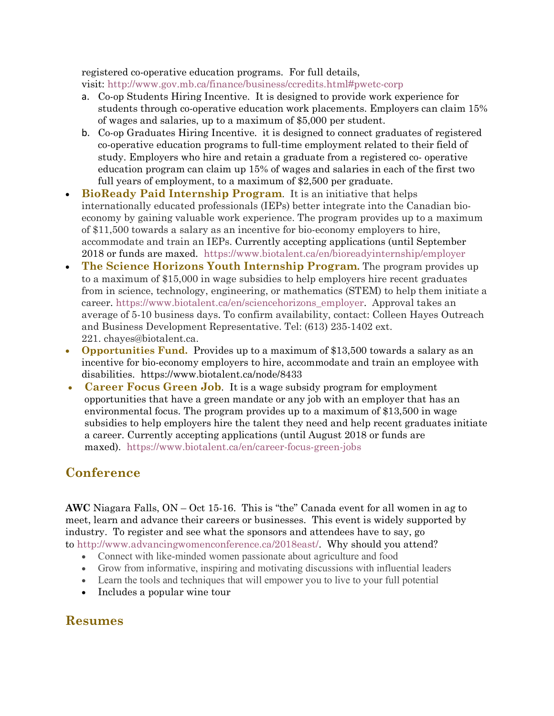registered co-operative education programs. For full details, visit: http://www.gov.mb.ca/finance/business/ccredits.html#pwetc-corp

- a. Co-op Students Hiring Incentive. It is designed to provide work experience for students through co-operative education work placements. Employers can claim 15% of wages and salaries, up to a maximum of \$5,000 per student.
- b. Co-op Graduates Hiring Incentive. it is designed to connect graduates of registered co-operative education programs to full-time employment related to their field of study. Employers who hire and retain a graduate from a registered co- operative education program can claim up 15% of wages and salaries in each of the first two full years of employment, to a maximum of \$2,500 per graduate.
- **BioReady Paid Internship Program**. It is an initiative that helps internationally educated professionals (IEPs) better integrate into the Canadian bioeconomy by gaining valuable work experience. The program provides up to a maximum of \$11,500 towards a salary as an incentive for bio-economy employers to hire, accommodate and train an IEPs. Currently accepting applications (until September 2018 or funds are maxed. https://www.biotalent.ca/en/bioreadyinternship/employer
- **The Science Horizons Youth Internship Program.** The program provides up to a maximum of \$15,000 in wage subsidies to help employers hire recent graduates from in science, technology, engineering, or mathematics (STEM) to help them initiate a career. https://www.biotalent.ca/en/sciencehorizons\_employer. Approval takes an average of 5-10 business days. To confirm availability, contact: Colleen Hayes Outreach and Business Development Representative. Tel: (613) 235-1402 ext. 221. chayes@biotalent.ca.
- **Opportunities Fund.** Provides up to a maximum of \$13,500 towards a salary as an incentive for bio-economy employers to hire, accommodate and train an employee with disabilities. https://www.biotalent.ca/node/8433
- **Career Focus Green Job**. It is a wage subsidy program for employment opportunities that have a green mandate or any job with an employer that has an environmental focus. The program provides up to a maximum of \$13,500 in wage subsidies to help employers hire the talent they need and help recent graduates initiate a career. Currently accepting applications (until August 2018 or funds are maxed). https://www.biotalent.ca/en/career-focus-green-jobs

# **Conference**

**AWC** Niagara Falls, ON – Oct 15-16. This is "the" Canada event for all women in ag to meet, learn and advance their careers or businesses. This event is widely supported by industry. To register and see what the sponsors and attendees have to say, go to http://www.advancingwomenconference.ca/2018east/. Why should you attend?

- Connect with like-minded women passionate about agriculture and food
- Grow from informative, inspiring and motivating discussions with influential leaders
- Learn the tools and techniques that will empower you to live to your full potential
- Includes a popular wine tour

## **Resumes**